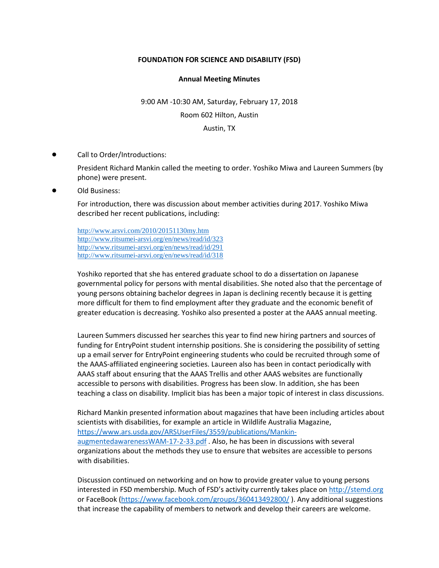## **FOUNDATION FOR SCIENCE AND DISABILITY (FSD)**

## **Annual Meeting Minutes**

9:00 AM -10:30 AM, Saturday, February 17, 2018 Room 602 Hilton, Austin Austin, TX

Call to Order/Introductions:

President Richard Mankin called the meeting to order. Yoshiko Miwa and Laureen Summers (by phone) were present.

Old Business:

For introduction, there was discussion about member activities during 2017. Yoshiko Miwa described her recent publications, including:

<http://www.arsvi.com/2010/20151130my.htm> <http://www.ritsumei-arsvi.org/en/news/read/id/323> <http://www.ritsumei-arsvi.org/en/news/read/id/291> <http://www.ritsumei-arsvi.org/en/news/read/id/318>

Yoshiko reported that she has entered graduate school to do a dissertation on Japanese governmental policy for persons with mental disabilities. She noted also that the percentage of young persons obtaining bachelor degrees in Japan is declining recently because it is getting more difficult for them to find employment after they graduate and the economic benefit of greater education is decreasing. Yoshiko also presented a poster at the AAAS annual meeting.

Laureen Summers discussed her searches this year to find new hiring partners and sources of funding for EntryPoint student internship positions. She is considering the possibility of setting up a email server for EntryPoint engineering students who could be recruited through some of the AAAS-affiliated engineering societies. Laureen also has been in contact periodically with AAAS staff about ensuring that the AAAS Trellis and other AAAS websites are functionally accessible to persons with disabilities. Progress has been slow. In addition, she has been teaching a class on disability. Implicit bias has been a major topic of interest in class discussions.

Richard Mankin presented information about magazines that have been including articles about scientists with disabilities, for example an article in Wildlife Australia Magazine, [https://www.ars.usda.gov/ARSUserFiles/3559/publications/Mankin](https://www.ars.usda.gov/ARSUserFiles/3559/publications/Mankin-augmentedawarenessWAM-17-2-33.pdf)[augmentedawarenessWAM-17-2-33.pdf](https://www.ars.usda.gov/ARSUserFiles/3559/publications/Mankin-augmentedawarenessWAM-17-2-33.pdf) . Also, he has been in discussions with several organizations about the methods they use to ensure that websites are accessible to persons with disabilities.

Discussion continued on networking and on how to provide greater value to young persons interested in FSD membership. Much of FSD's activity currently takes place on [http://stemd.org](http://stemd.org/) or FaceBook [\(https://www.facebook.com/groups/360413492800/](https://www.facebook.com/groups/360413492800/) ). Any additional suggestions that increase the capability of members to network and develop their careers are welcome.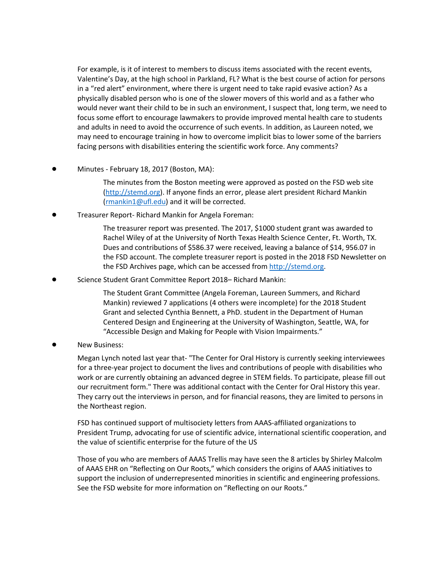For example, is it of interest to members to discuss items associated with the recent events, Valentine's Day, at the high school in Parkland, FL? What is the best course of action for persons in a "red alert" environment, where there is urgent need to take rapid evasive action? As a physically disabled person who is one of the slower movers of this world and as a father who would never want their child to be in such an environment, I suspect that, long term, we need to focus some effort to encourage lawmakers to provide improved mental health care to students and adults in need to avoid the occurrence of such events. In addition, as Laureen noted, we may need to encourage training in how to overcome implicit bias to lower some of the barriers facing persons with disabilities entering the scientific work force. Any comments?

Minutes - February 18, 2017 (Boston, MA):

The minutes from the Boston meeting were approved as posted on the FSD web site [\(http://stemd.org\)](http://stemd.org/). If anyone finds an error, please alert president Richard Mankin [\(rmankin1@ufl.edu\)](mailto:rmankin1@ufl.edu) and it will be corrected.

! Treasurer Report- Richard Mankin for Angela Foreman:

The treasurer report was presented. The 2017, \$1000 student grant was awarded to Rachel Wiley of at the University of North Texas Health Science Center, Ft. Worth, TX. Dues and contributions of \$586.37 were received, leaving a balance of \$14, 956.07 in the FSD account. The complete treasurer report is posted in the 2018 FSD Newsletter on the FSD Archives page, which can be accessed from [http://stemd.org.](http://stemd.org/)

Science Student Grant Committee Report 2018- Richard Mankin:

The Student Grant Committee (Angela Foreman, Laureen Summers, and Richard Mankin) reviewed 7 applications (4 others were incomplete) for the 2018 Student Grant and selected Cynthia Bennett, a PhD. student in the Department of Human Centered Design and Engineering at the University of Washington, Seattle, WA, for "Accessible Design and Making for People with Vision Impairments."

**New Business:** 

Megan Lynch noted last year that- "The Center for Oral History is currently seeking interviewees for a three-year project to document the lives and contributions of people with disabilities who work or are currently obtaining an advanced degree in STEM fields. To participate, please fill out our recruitment form." There was additional contact with the Center for Oral History this year. They carry out the interviews in person, and for financial reasons, they are limited to persons in the Northeast region.

FSD has continued support of multisociety letters from AAAS-affiliated organizations to President Trump, advocating for use of scientific advice, international scientific cooperation, and the value of scientific enterprise for the future of the US

Those of you who are members of AAAS Trellis may have seen the 8 articles by Shirley Malcolm of AAAS EHR on "Reflecting on Our Roots," which considers the origins of AAAS initiatives to support the inclusion of underrepresented minorities in scientific and engineering professions. See the FSD website for more information on "Reflecting on our Roots."